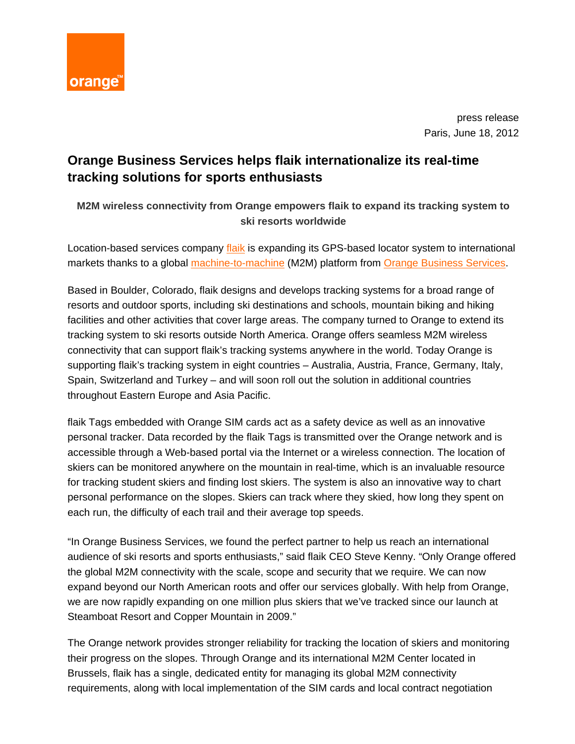

press release Paris, June 18, 2012

# **Orange Business Services helps flaik internationalize its real-time tracking solutions for sports enthusiasts**

## **M2M wireless connectivity from Orange empowers flaik to expand its tracking system to ski resorts worldwide**

Location-based services company [flaik](http://www.flaik.com/) is expanding its GPS-based locator system to international markets thanks to a global [machine-to-machine](http://www.orange-business.com/en/mnc2/themes/m2m/index.html) (M2M) platform from [Orange Business Services](http://www.orange-business.com/en/mnc2/).

Based in Boulder, Colorado, flaik designs and develops tracking systems for a broad range of resorts and outdoor sports, including ski destinations and schools, mountain biking and hiking facilities and other activities that cover large areas. The company turned to Orange to extend its tracking system to ski resorts outside North America. Orange offers seamless M2M wireless connectivity that can support flaik's tracking systems anywhere in the world. Today Orange is supporting flaik's tracking system in eight countries – Australia, Austria, France, Germany, Italy, Spain, Switzerland and Turkey – and will soon roll out the solution in additional countries throughout Eastern Europe and Asia Pacific.

flaik Tags embedded with Orange SIM cards act as a safety device as well as an innovative personal tracker. Data recorded by the flaik Tags is transmitted over the Orange network and is accessible through a Web-based portal via the Internet or a wireless connection. The location of skiers can be monitored anywhere on the mountain in real-time, which is an invaluable resource for tracking student skiers and finding lost skiers. The system is also an innovative way to chart personal performance on the slopes. Skiers can track where they skied, how long they spent on each run, the difficulty of each trail and their average top speeds.

"In Orange Business Services, we found the perfect partner to help us reach an international audience of ski resorts and sports enthusiasts," said flaik CEO Steve Kenny. "Only Orange offered the global M2M connectivity with the scale, scope and security that we require. We can now expand beyond our North American roots and offer our services globally. With help from Orange, we are now rapidly expanding on one million plus skiers that we've tracked since our launch at Steamboat Resort and Copper Mountain in 2009."

The Orange network provides stronger reliability for tracking the location of skiers and monitoring their progress on the slopes. Through Orange and its international M2M Center located in Brussels, flaik has a single, dedicated entity for managing its global M2M connectivity requirements, along with local implementation of the SIM cards and local contract negotiation